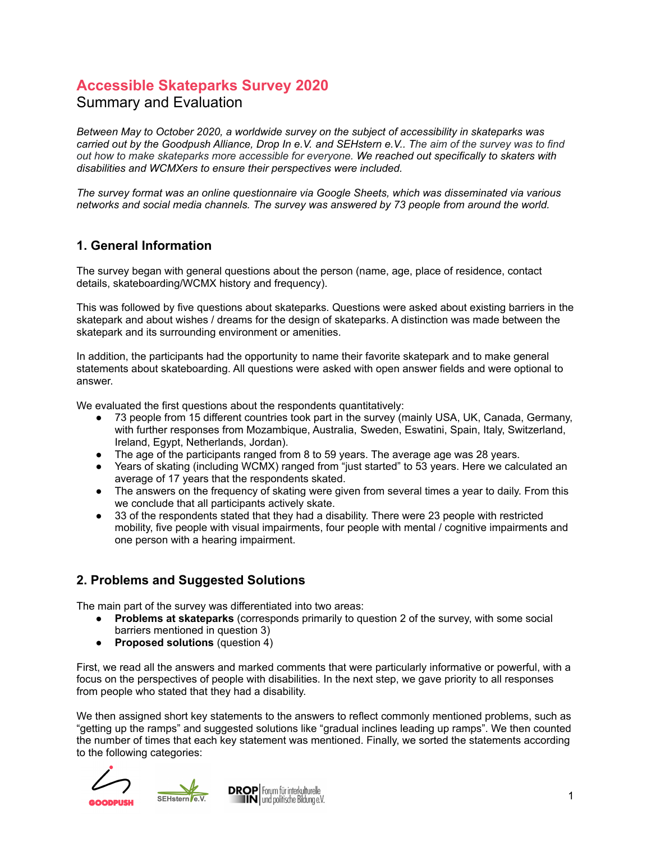# **Accessible Skateparks Survey 2020**

# Summary and Evaluation

*Between May to October 2020, a worldwide survey on the subject of accessibility in skateparks was* carried out by the Goodpush Alliance, Drop In e.V. and SEHstern e.V.. The aim of the survey was to find *out how to make skateparks more accessible for everyone. We reached out specifically to skaters with disabilities and WCMXers to ensure their perspectives were included.*

*The survey format was an online questionnaire via Google Sheets, which was disseminated via various networks and social media channels. The survey was answered by 73 people from around the world.*

### **1. General Information**

The survey began with general questions about the person (name, age, place of residence, contact details, skateboarding/WCMX history and frequency).

This was followed by five questions about skateparks. Questions were asked about existing barriers in the skatepark and about wishes / dreams for the design of skateparks. A distinction was made between the skatepark and its surrounding environment or amenities.

In addition, the participants had the opportunity to name their favorite skatepark and to make general statements about skateboarding. All questions were asked with open answer fields and were optional to answer.

We evaluated the first questions about the respondents quantitatively:

- 73 people from 15 different countries took part in the survey (mainly USA, UK, Canada, Germany, with further responses from Mozambique, Australia, Sweden, Eswatini, Spain, Italy, Switzerland, Ireland, Egypt, Netherlands, Jordan).
- The age of the participants ranged from 8 to 59 years. The average age was 28 years.
- Years of skating (including WCMX) ranged from "just started" to 53 years. Here we calculated an average of 17 years that the respondents skated.
- The answers on the frequency of skating were given from several times a year to daily. From this we conclude that all participants actively skate.
- 33 of the respondents stated that they had a disability. There were 23 people with restricted mobility, five people with visual impairments, four people with mental / cognitive impairments and one person with a hearing impairment.

# **2. Problems and Suggested Solutions**

The main part of the survey was differentiated into two areas:

- **Problems at skateparks** (corresponds primarily to question 2 of the survey, with some social barriers mentioned in question 3)
- **Proposed solutions** (question 4)

First, we read all the answers and marked comments that were particularly informative or powerful, with a focus on the perspectives of people with disabilities. In the next step, we gave priority to all responses from people who stated that they had a disability.

We then assigned short key statements to the answers to reflect commonly mentioned problems, such as "getting up the ramps" and suggested solutions like "gradual inclines leading up ramps". We then counted the number of times that each key statement was mentioned. Finally, we sorted the statements according to the following categories:



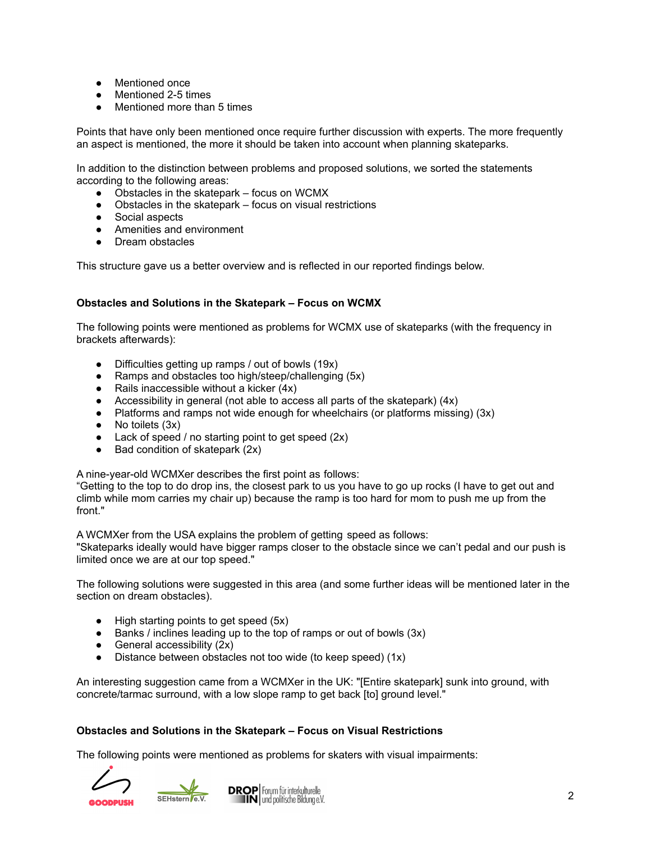- Mentioned once
- Mentioned 2-5 times
- Mentioned more than 5 times

Points that have only been mentioned once require further discussion with experts. The more frequently an aspect is mentioned, the more it should be taken into account when planning skateparks.

In addition to the distinction between problems and proposed solutions, we sorted the statements according to the following areas:

- Obstacles in the skatepark focus on WCMX
- Obstacles in the skatepark focus on visual restrictions
- Social aspects
- Amenities and environment
- Dream obstacles

This structure gave us a better overview and is reflected in our reported findings below.

#### **Obstacles and Solutions in the Skatepark – Focus on WCMX**

The following points were mentioned as problems for WCMX use of skateparks (with the frequency in brackets afterwards):

- Difficulties getting up ramps / out of bowls (19x)
- Ramps and obstacles too high/steep/challenging (5x)
- $\bullet$  Rails inaccessible without a kicker (4x)
- Accessibility in general (not able to access all parts of the skatepark) (4x)
- Platforms and ramps not wide enough for wheelchairs (or platforms missing) (3x)
- No toilets (3x)
- Lack of speed / no starting point to get speed (2x)
- $\bullet$  Bad condition of skatepark (2x)

A nine-year-old WCMXer describes the first point as follows:

"Getting to the top to do drop ins, the closest park to us you have to go up rocks (I have to get out and climb while mom carries my chair up) because the ramp is too hard for mom to push me up from the front."

A WCMXer from the USA explains the problem of getting speed as follows:

"Skateparks ideally would have bigger ramps closer to the obstacle since we can't pedal and our push is limited once we are at our top speed."

The following solutions were suggested in this area (and some further ideas will be mentioned later in the section on dream obstacles).

- High starting points to get speed (5x)
- Banks / inclines leading up to the top of ramps or out of bowls (3x)
- General accessibility (2x)
- Distance between obstacles not too wide (to keep speed) (1x)

An interesting suggestion came from a WCMXer in the UK: "[Entire skatepark] sunk into ground, with concrete/tarmac surround, with a low slope ramp to get back [to] ground level."

#### **Obstacles and Solutions in the Skatepark – Focus on Visual Restrictions**

The following points were mentioned as problems for skaters with visual impairments:



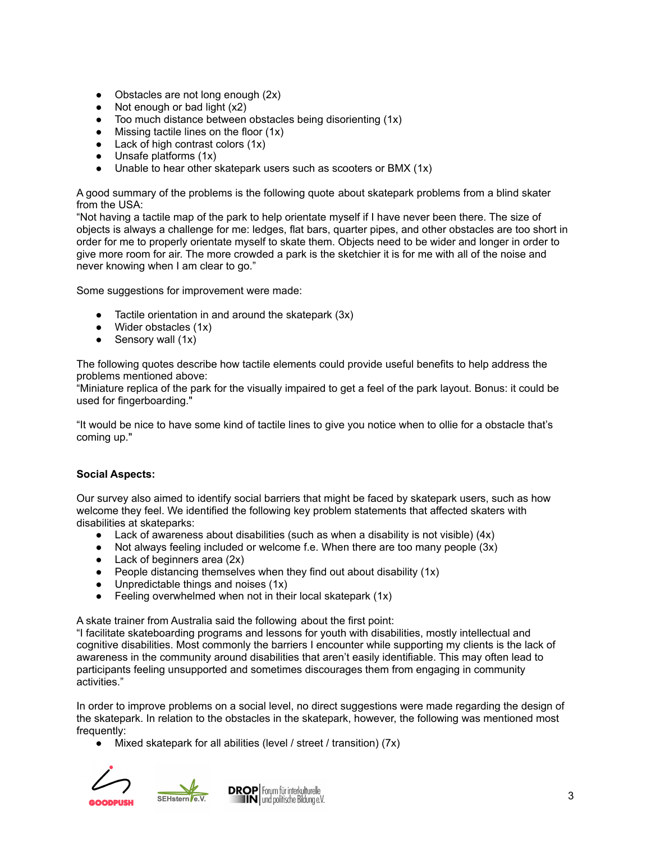- Obstacles are not long enough (2x)
- $\bullet$  Not enough or bad light  $(x2)$
- Too much distance between obstacles being disorienting (1x)
- Missing tactile lines on the floor  $(1x)$
- $\bullet$  Lack of high contrast colors  $(1x)$
- Unsafe platforms (1x)
- Unable to hear other skatepark users such as scooters or BMX (1x)

A good summary of the problems is the following quote about skatepark problems from a blind skater from the USA:

"Not having a tactile map of the park to help orientate myself if I have never been there. The size of objects is always a challenge for me: ledges, flat bars, quarter pipes, and other obstacles are too short in order for me to properly orientate myself to skate them. Objects need to be wider and longer in order to give more room for air. The more crowded a park is the sketchier it is for me with all of the noise and never knowing when I am clear to go."

Some suggestions for improvement were made:

- Tactile orientation in and around the skatepark  $(3x)$
- $\bullet$  Wider obstacles  $(1x)$
- $\bullet$  Sensory wall (1x)

The following quotes describe how tactile elements could provide useful benefits to help address the problems mentioned above:

"Miniature replica of the park for the visually impaired to get a feel of the park layout. Bonus: it could be used for fingerboarding."

"It would be nice to have some kind of tactile lines to give you notice when to ollie for a obstacle that's coming up."

#### **Social Aspects:**

Our survey also aimed to identify social barriers that might be faced by skatepark users, such as how welcome they feel. We identified the following key problem statements that affected skaters with disabilities at skateparks:

- $\bullet$  Lack of awareness about disabilities (such as when a disability is not visible) (4x)
- Not always feeling included or welcome f.e. When there are too many people (3x)
- $\bullet$  Lack of beginners area (2x)
- People distancing themselves when they find out about disability  $(1x)$
- Unpredictable things and noises  $(1x)$
- Feeling overwhelmed when not in their local skatepark  $(1x)$

A skate trainer from Australia said the following about the first point:

"I facilitate skateboarding programs and lessons for youth with disabilities, mostly intellectual and cognitive disabilities. Most commonly the barriers I encounter while supporting my clients is the lack of awareness in the community around disabilities that aren't easily identifiable. This may often lead to participants feeling unsupported and sometimes discourages them from engaging in community activities."

In order to improve problems on a social level, no direct suggestions were made regarding the design of the skatepark. In relation to the obstacles in the skatepark, however, the following was mentioned most frequently:

● Mixed skatepark for all abilities (level / street / transition) (7x)



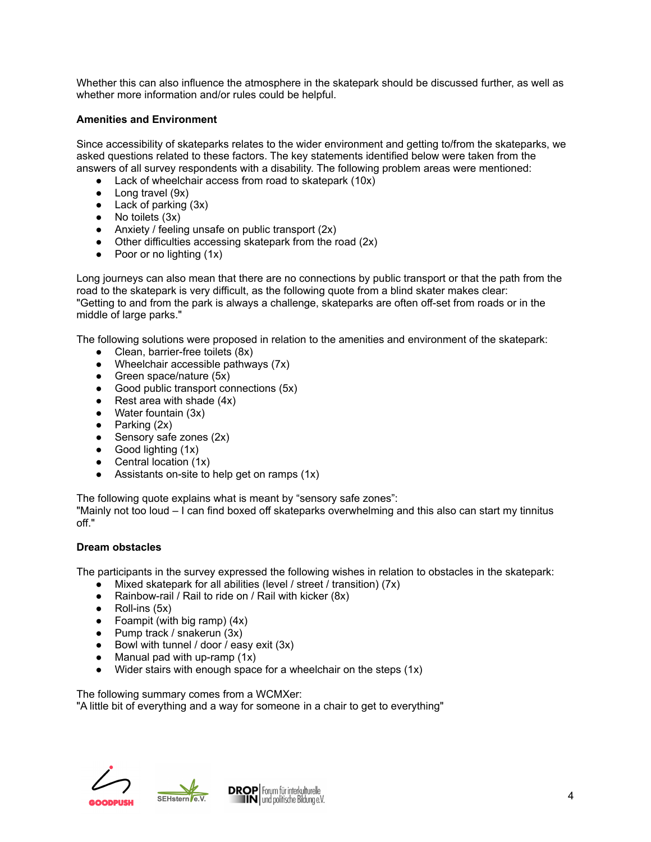Whether this can also influence the atmosphere in the skatepark should be discussed further, as well as whether more information and/or rules could be helpful.

#### **Amenities and Environment**

Since accessibility of skateparks relates to the wider environment and getting to/from the skateparks, we asked questions related to these factors. The key statements identified below were taken from the answers of all survey respondents with a disability. The following problem areas were mentioned:

- Lack of wheelchair access from road to skatepark (10x)
- Long travel (9x)
- $\bullet$  Lack of parking  $(3x)$
- $\bullet$  No toilets  $(3x)$
- Anxiety / feeling unsafe on public transport (2x)
- Other difficulties accessing skatepark from the road (2x)
- $\bullet$  Poor or no lighting  $(1x)$

Long journeys can also mean that there are no connections by public transport or that the path from the road to the skatepark is very difficult, as the following quote from a blind skater makes clear: "Getting to and from the park is always a challenge, skateparks are often off-set from roads or in the middle of large parks."

The following solutions were proposed in relation to the amenities and environment of the skatepark:

- Clean, barrier-free toilets (8x)
- $\bullet$  Wheelchair accessible pathways (7x)
- Green space/nature (5x)
- Good public transport connections (5x)
- Rest area with shade  $(4x)$
- Water fountain (3x)
- $\bullet$  Parking (2x)
- Sensory safe zones (2x)
- Good lighting (1x)
- $\bullet$  Central location  $(1x)$
- Assistants on-site to help get on ramps  $(1x)$

The following quote explains what is meant by "sensory safe zones":

"Mainly not too loud – I can find boxed off skateparks overwhelming and this also can start my tinnitus off."

#### **Dream obstacles**

The participants in the survey expressed the following wishes in relation to obstacles in the skatepark:

- Mixed skatepark for all abilities (level / street / transition) (7x)
- Rainbow-rail / Rail to ride on / Rail with kicker (8x)
- $\bullet$  Roll-ins (5x)
- Foampit (with big ramp)  $(4x)$
- Pump track / snakerun  $(3x)$
- Bowl with tunnel / door / easy exit (3x)
- $\bullet$  Manual pad with up-ramp  $(1x)$
- $\bullet$  Wider stairs with enough space for a wheelchair on the steps (1x)

The following summary comes from a WCMXer: "A little bit of everything and a way for someone in a chair to get to everything"



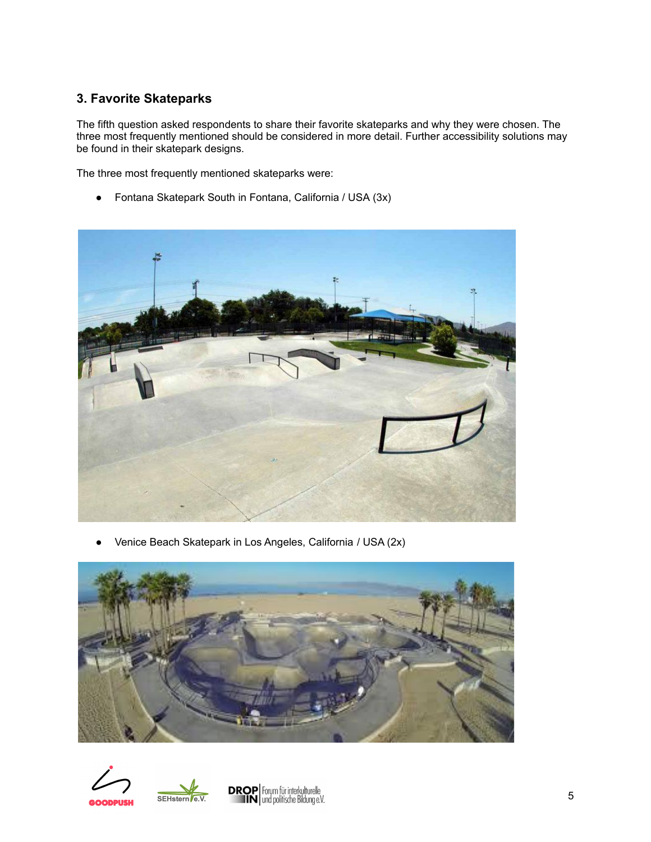# **3. Favorite Skateparks**

The fifth question asked respondents to share their favorite skateparks and why they were chosen. The three most frequently mentioned should be considered in more detail. Further accessibility solutions may be found in their skatepark designs.

The three most frequently mentioned skateparks were:

● Fontana Skatepark South in Fontana, California / USA (3x)



Venice Beach Skatepark in Los Angeles, California / USA (2x)





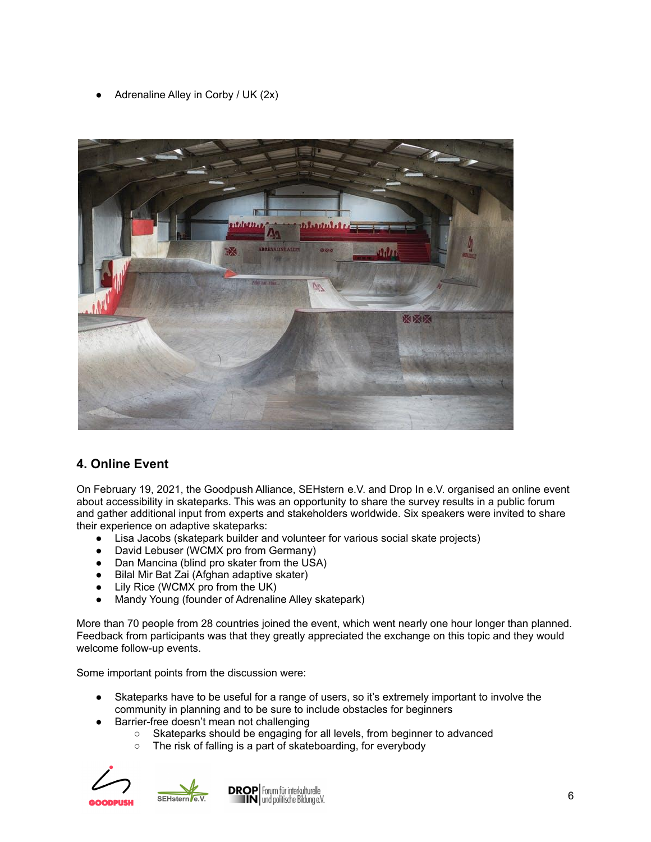Adrenaline Alley in Corby / UK  $(2x)$ 



# **4. Online Event**

On February 19, 2021, the Goodpush Alliance, SEHstern e.V. and Drop In e.V. organised an online event about accessibility in skateparks. This was an opportunity to share the survey results in a public forum and gather additional input from experts and stakeholders worldwide. Six speakers were invited to share their experience on adaptive skateparks:

- Lisa Jacobs (skatepark builder and volunteer for various social skate projects)
- David Lebuser (WCMX pro from Germany)
- Dan Mancina (blind pro skater from the USA)
- Bilal Mir Bat Zai (Afghan adaptive skater)
- Lily Rice (WCMX pro from the UK)
- Mandy Young (founder of Adrenaline Alley skatepark)

More than 70 people from 28 countries joined the event, which went nearly one hour longer than planned. Feedback from participants was that they greatly appreciated the exchange on this topic and they would welcome follow-up events.

Some important points from the discussion were:

- Skateparks have to be useful for a range of users, so it's extremely important to involve the community in planning and to be sure to include obstacles for beginners
- Barrier-free doesn't mean not challenging
	- Skateparks should be engaging for all levels, from beginner to advanced
	- The risk of falling is a part of skateboarding, for everybody



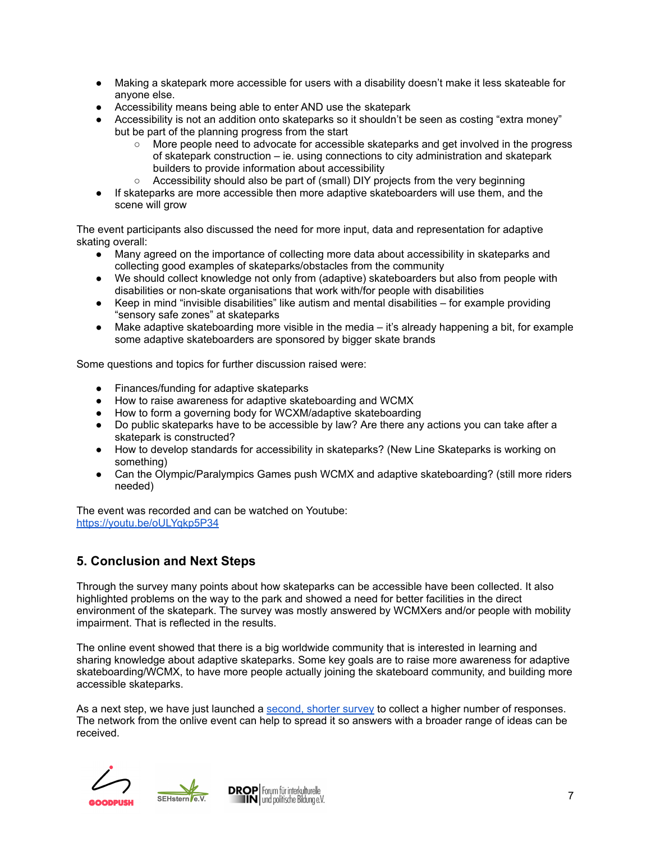- Making a skatepark more accessible for users with a disability doesn't make it less skateable for anyone else.
- Accessibility means being able to enter AND use the skatepark
- Accessibility is not an addition onto skateparks so it shouldn't be seen as costing "extra money" but be part of the planning progress from the start
	- More people need to advocate for accessible skateparks and get involved in the progress of skatepark construction – ie. using connections to city administration and skatepark builders to provide information about accessibility
	- Accessibility should also be part of (small) DIY projects from the very beginning
- If skateparks are more accessible then more adaptive skateboarders will use them, and the scene will grow

The event participants also discussed the need for more input, data and representation for adaptive skating overall:

- Many agreed on the importance of collecting more data about accessibility in skateparks and collecting good examples of skateparks/obstacles from the community
- We should collect knowledge not only from (adaptive) skateboarders but also from people with disabilities or non-skate organisations that work with/for people with disabilities
- Keep in mind "invisible disabilities" like autism and mental disabilities for example providing "sensory safe zones" at skateparks
- Make adaptive skateboarding more visible in the media it's already happening a bit, for example some adaptive skateboarders are sponsored by bigger skate brands

Some questions and topics for further discussion raised were:

- Finances/funding for adaptive skateparks
- How to raise awareness for adaptive skateboarding and WCMX
- How to form a governing body for WCXM/adaptive skateboarding
- Do public skateparks have to be accessible by law? Are there any actions you can take after a skatepark is constructed?
- How to develop standards for accessibility in skateparks? (New Line Skateparks is working on something)
- Can the Olympic/Paralympics Games push WCMX and adaptive skateboarding? (still more riders needed)

The event was recorded and can be watched on Youtube: <https://youtu.be/oULYqkp5P34>

# **5. Conclusion and Next Steps**

Through the survey many points about how skateparks can be accessible have been collected. It also highlighted problems on the way to the park and showed a need for better facilities in the direct environment of the skatepark. The survey was mostly answered by WCMXers and/or people with mobility impairment. That is reflected in the results.

The online event showed that there is a big worldwide community that is interested in learning and sharing knowledge about adaptive skateparks. Some key goals are to raise more awareness for adaptive skateboarding/WCMX, to have more people actually joining the skateboard community, and building more accessible skateparks.

As a next step, we have just launched a [second,](https://forms.gle/Rn45VfQsREosQgu78) shorter survey to collect a higher number of responses. The network from the onlive event can help to spread it so answers with a broader range of ideas can be received.